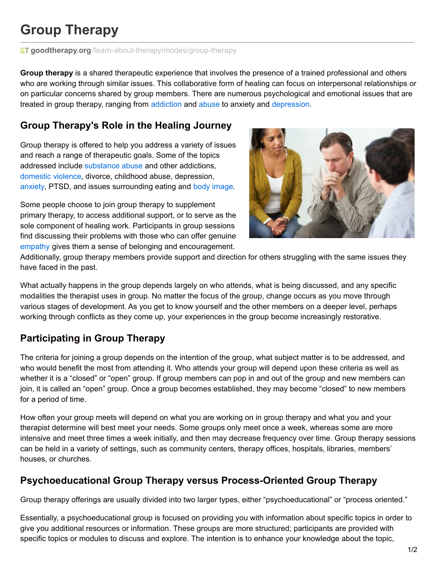# **Group Therapy**

**GT goodtherapy.org**[/learn-about-therapy/modes/group-therapy](https://www.goodtherapy.org/learn-about-therapy/modes/group-therapy)

**Group therapy** is a shared therapeutic experience that involves the presence of a trained professional and others who are working through similar issues. This collaborative form of healing can focus on interpersonal relationships or on particular concerns shared by group members. There are numerous psychological and emotional issues that are treated in group therapy, ranging from [addiction](https://www.goodtherapy.org/learn-about-therapy/modes/group-therapy) and [abuse](https://www.goodtherapy.org/learn-about-therapy/modes/group-therapy) to anxiety and [depression](https://www.goodtherapy.org/learn-about-therapy/modes/group-therapy).

### **Group Therapy's Role in the Healing Journey**

Group therapy is offered to help you address a variety of issues and reach a range of therapeutic goals. Some of the topics addressed include [substance](https://www.goodtherapy.org/learn-about-therapy/modes/group-therapy) abuse and other addictions, [domestic](https://www.goodtherapy.org/learn-about-therapy/modes/group-therapy) violence, divorce, childhood abuse, depression, [anxiety](https://www.goodtherapy.org/learn-about-therapy/modes/group-therapy), PTSD, and issues surrounding eating and body [image](https://www.goodtherapy.org/learn-about-therapy/modes/group-therapy).

Some people choose to join group therapy to supplement primary therapy, to access additional support, or to serve as the sole component of healing work. Participants in group sessions find discussing their problems with those who can offer genuine [empathy](https://www.goodtherapy.org/learn-about-therapy/modes/group-therapy) gives them a sense of belonging and encouragement.



Additionally, group therapy members provide support and direction for others struggling with the same issues they have faced in the past.

What actually happens in the group depends largely on who attends, what is being discussed, and any specific modalities the therapist uses in group. No matter the focus of the group, change occurs as you move through various stages of development. As you get to know yourself and the other members on a deeper level, perhaps working through conflicts as they come up, your experiences in the group become increasingly restorative.

# **Participating in Group Therapy**

The criteria for joining a group depends on the intention of the group, what subject matter is to be addressed, and who would benefit the most from attending it. Who attends your group will depend upon these criteria as well as whether it is a "closed" or "open" group. If group members can pop in and out of the group and new members can join, it is called an "open" group. Once a group becomes established, they may become "closed" to new members for a period of time.

How often your group meets will depend on what you are working on in group therapy and what you and your therapist determine will best meet your needs. Some groups only meet once a week, whereas some are more intensive and meet three times a week initially, and then may decrease frequency over time. Group therapy sessions can be held in a variety of settings, such as community centers, therapy offices, hospitals, libraries, members' houses, or churches.

## **Psychoeducational Group Therapy versus Process-Oriented Group Therapy**

Group therapy offerings are usually divided into two larger types, either "psychoeducational" or "process oriented."

Essentially, a psychoeducational group is focused on providing you with information about specific topics in order to give you additional resources or information. These groups are more structured; participants are provided with specific topics or modules to discuss and explore. The intention is to enhance your knowledge about the topic,